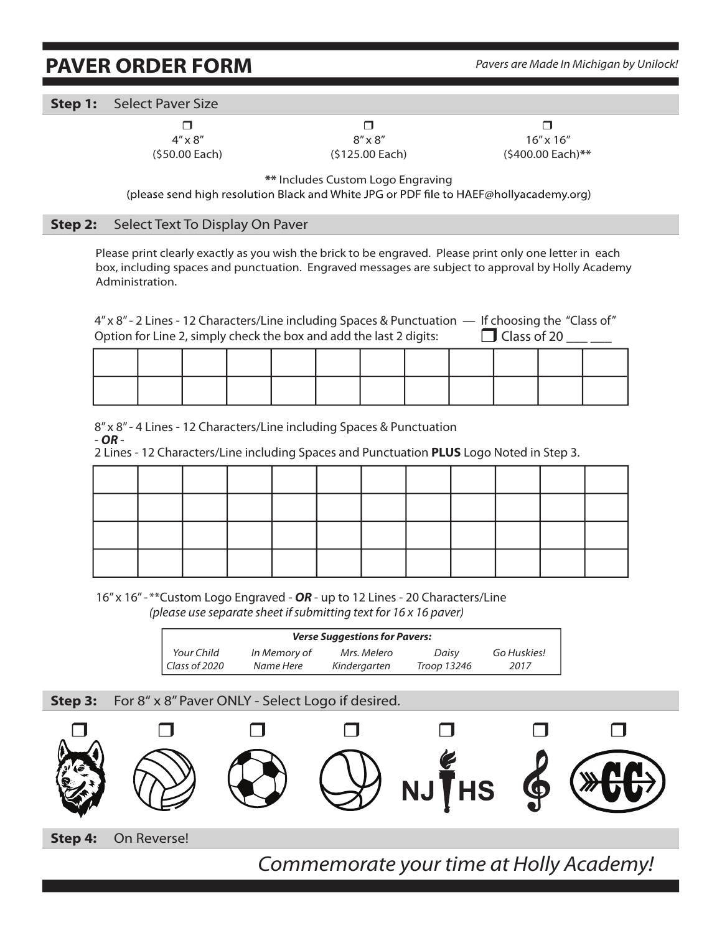## **PAVER ORDER FORM** *Pavers are Made In Michigan by Unilock!*

**Step 1:** Select Paver Size

 $\Box$  , and  $\Box$  , and  $\Box$  , and  $\Box$  , and  $\Box$  , and  $\Box$  , and  $\Box$  , and  $\Box$  , and  $\Box$  , and  $\Box$  $4'' \times 8''$   $8'' \times 8''$   $16'' \times 16''$ (\$50.00 Each) (\$125.00 Each) (\$400.00 Each)**\*\***

**\*\*** Includes Custom Logo Engraving

(please send high resolution Black and White JPG or PDF file to HAEF@hollyacademy.org)

## **Step 2:** Select Text To Display On Paver

Please print clearly exactly as you wish the brick to be engraved. Please print only one letter in each box, including spaces and punctuation. Engraved messages are subject to approval by Holly Academy Administration.

4" x 8" - 2 Lines - 12 Characters/Line including Spaces & Punctuation — If choosing the "Class of" Option for Line 2, simply check the box and add the last 2 digits:  $\Box$  Class of 20

8" x 8" - 4 Lines - 12 Characters/Line including Spaces & Punctuation<br>- **OR** -<br>2 Lines - 12 Characters/Line including Spaces and Punctuation **PLUS** Logo Noted in Step 3.

16" x 16" - \*\*Custom Logo Engraved - *OR* - up to 12 Lines - 20 Characters/Line *(please use separate sheet if submitting text for 16 x 16 paver)*

| <b>Verse Suggestions for Pavers:</b> |              |              |             |             |  |  |  |  |
|--------------------------------------|--------------|--------------|-------------|-------------|--|--|--|--|
| Your Child                           | In Memory of | Mrs. Melero  | Daisy       | Go Huskies! |  |  |  |  |
| Class of 2020                        | Name Here    | Kindergarten | Troop 13246 | 2017        |  |  |  |  |

## **Step 3:** For 8" x 8" Paver ONLY - Select Logo if desired.



*Commemorate your time at Holly Academy!*